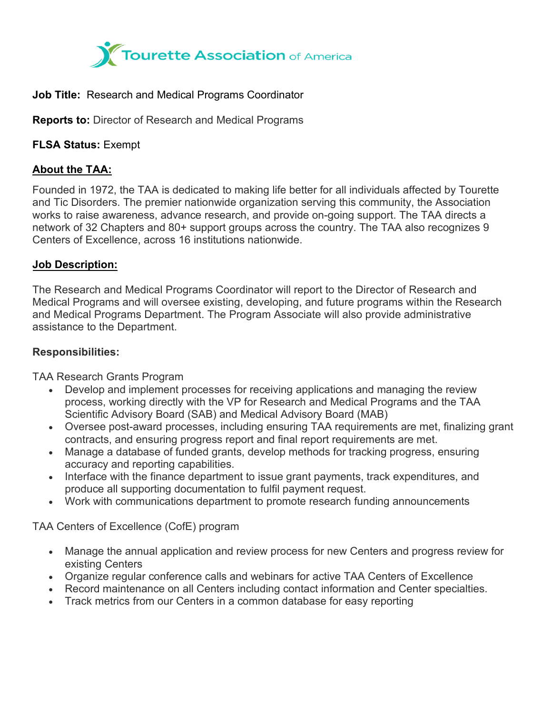

### **Job Title:** Research and Medical Programs Coordinator

**Reports to:** Director of Research and Medical Programs

**FLSA Status:** Exempt

# **About the TAA:**

Founded in 1972, the TAA is dedicated to making life better for all individuals affected by Tourette and Tic Disorders. The premier nationwide organization serving this community, the Association works to raise awareness, advance research, and provide on-going support. The TAA directs a network of 32 Chapters and 80+ support groups across the country. The TAA also recognizes 9 Centers of Excellence, across 16 institutions nationwide.

# **Job Description:**

The Research and Medical Programs Coordinator will report to the Director of Research and Medical Programs and will oversee existing, developing, and future programs within the Research and Medical Programs Department. The Program Associate will also provide administrative assistance to the Department.

## **Responsibilities:**

TAA Research Grants Program

- Develop and implement processes for receiving applications and managing the review process, working directly with the VP for Research and Medical Programs and the TAA Scientific Advisory Board (SAB) and Medical Advisory Board (MAB)
- Oversee post-award processes, including ensuring TAA requirements are met, finalizing grant contracts, and ensuring progress report and final report requirements are met.
- Manage a database of funded grants, develop methods for tracking progress, ensuring accuracy and reporting capabilities.
- Interface with the finance department to issue grant payments, track expenditures, and produce all supporting documentation to fulfil payment request.
- Work with communications department to promote research funding announcements

TAA Centers of Excellence (CofE) program

- Manage the annual application and review process for new Centers and progress review for existing Centers
- Organize regular conference calls and webinars for active TAA Centers of Excellence
- Record maintenance on all Centers including contact information and Center specialties.
- Track metrics from our Centers in a common database for easy reporting